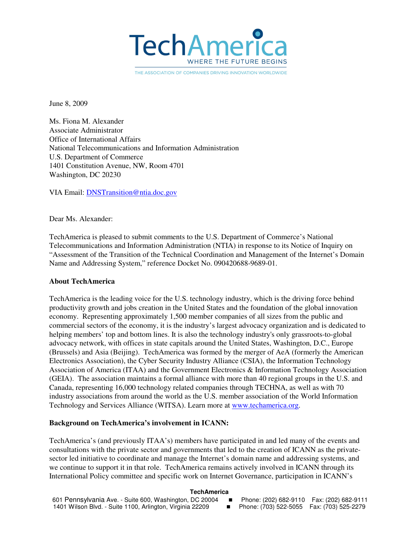

THE ASSOCIATION OF COMPANIES DRIVING INNOVATION WORLDWIDE

June 8, 2009

Ms. Fiona M. Alexander Associate Administrator Office of International Affairs National Telecommunications and Information Administration U.S. Department of Commerce 1401 Constitution Avenue, NW, Room 4701 Washington, DC 20230

VIA Email: DNSTransition@ntia.doc.gov

Dear Ms. Alexander:

TechAmerica is pleased to submit comments to the U.S. Department of Commerce's National Telecommunications and Information Administration (NTIA) in response to its Notice of Inquiry on "Assessment of the Transition of the Technical Coordination and Management of the Internet's Domain Name and Addressing System," reference Docket No. 090420688-9689-01.

#### **About TechAmerica**

TechAmerica is the leading voice for the U.S. technology industry, which is the driving force behind productivity growth and jobs creation in the United States and the foundation of the global innovation economy. Representing approximately 1,500 member companies of all sizes from the public and commercial sectors of the economy, it is the industry's largest advocacy organization and is dedicated to helping members' top and bottom lines. It is also the technology industry's only grassroots-to-global advocacy network, with offices in state capitals around the United States, Washington, D.C., Europe (Brussels) and Asia (Beijing). TechAmerica was formed by the merger of AeA (formerly the American Electronics Association), the Cyber Security Industry Alliance (CSIA), the Information Technology Association of America (ITAA) and the Government Electronics & Information Technology Association (GEIA). The association maintains a formal alliance with more than 40 regional groups in the U.S. and Canada, representing 16,000 technology related companies through TECHNA, as well as with 70 industry associations from around the world as the U.S. member association of the World Information Technology and Services Alliance (WITSA). Learn more at www.techamerica.org.

#### **Background on TechAmerica's involvement in ICANN:**

TechAmerica's (and previously ITAA's) members have participated in and led many of the events and consultations with the private sector and governments that led to the creation of ICANN as the privatesector led initiative to coordinate and manage the Internet's domain name and addressing systems, and we continue to support it in that role. TechAmerica remains actively involved in ICANN through its International Policy committee and specific work on Internet Governance, participation in ICANN's

#### **TechAmerica**

| 601 Pennsylvania Ave. - Suite 600, Washington, DC 20004   | and the state of the state | Phone: (202) 682-9110  Fax: (202) 682-9111  |  |
|-----------------------------------------------------------|----------------------------|---------------------------------------------|--|
| 1401 Wilson Blvd. - Suite 1100, Arlington, Virginia 22209 |                            | ■ Phone: (703) 522-5055 Fax: (703) 525-2279 |  |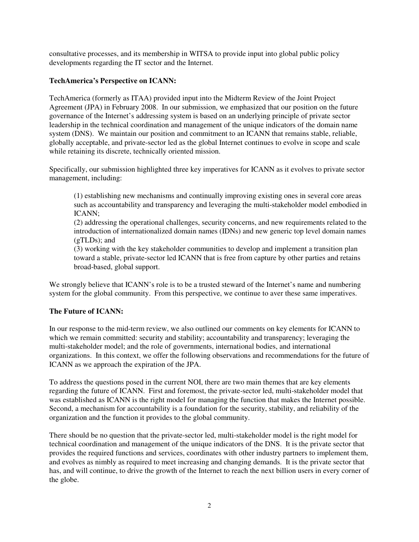consultative processes, and its membership in WITSA to provide input into global public policy developments regarding the IT sector and the Internet.

# **TechAmerica's Perspective on ICANN:**

TechAmerica (formerly as ITAA) provided input into the Midterm Review of the Joint Project Agreement (JPA) in February 2008. In our submission, we emphasized that our position on the future governance of the Internet's addressing system is based on an underlying principle of private sector leadership in the technical coordination and management of the unique indicators of the domain name system (DNS). We maintain our position and commitment to an ICANN that remains stable, reliable, globally acceptable, and private-sector led as the global Internet continues to evolve in scope and scale while retaining its discrete, technically oriented mission.

Specifically, our submission highlighted three key imperatives for ICANN as it evolves to private sector management, including:

(1) establishing new mechanisms and continually improving existing ones in several core areas such as accountability and transparency and leveraging the multi-stakeholder model embodied in ICANN;

(2) addressing the operational challenges, security concerns, and new requirements related to the introduction of internationalized domain names (IDNs) and new generic top level domain names (gTLDs); and

(3) working with the key stakeholder communities to develop and implement a transition plan toward a stable, private-sector led ICANN that is free from capture by other parties and retains broad-based, global support.

We strongly believe that ICANN's role is to be a trusted steward of the Internet's name and numbering system for the global community. From this perspective, we continue to aver these same imperatives.

# **The Future of ICANN:**

In our response to the mid-term review, we also outlined our comments on key elements for ICANN to which we remain committed: security and stability; accountability and transparency; leveraging the multi-stakeholder model; and the role of governments, international bodies, and international organizations. In this context, we offer the following observations and recommendations for the future of ICANN as we approach the expiration of the JPA.

To address the questions posed in the current NOI, there are two main themes that are key elements regarding the future of ICANN. First and foremost, the private-sector led, multi-stakeholder model that was established as ICANN is the right model for managing the function that makes the Internet possible. Second, a mechanism for accountability is a foundation for the security, stability, and reliability of the organization and the function it provides to the global community.

There should be no question that the private-sector led, multi-stakeholder model is the right model for technical coordination and management of the unique indicators of the DNS. It is the private sector that provides the required functions and services, coordinates with other industry partners to implement them, and evolves as nimbly as required to meet increasing and changing demands. It is the private sector that has, and will continue, to drive the growth of the Internet to reach the next billion users in every corner of the globe.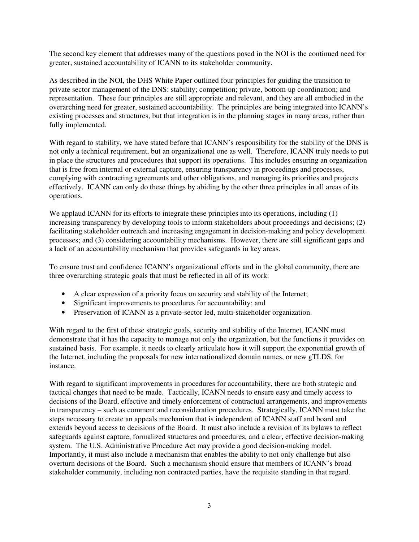The second key element that addresses many of the questions posed in the NOI is the continued need for greater, sustained accountability of ICANN to its stakeholder community.

As described in the NOI, the DHS White Paper outlined four principles for guiding the transition to private sector management of the DNS: stability; competition; private, bottom-up coordination; and representation. These four principles are still appropriate and relevant, and they are all embodied in the overarching need for greater, sustained accountability. The principles are being integrated into ICANN's existing processes and structures, but that integration is in the planning stages in many areas, rather than fully implemented.

With regard to stability, we have stated before that ICANN's responsibility for the stability of the DNS is not only a technical requirement, but an organizational one as well. Therefore, ICANN truly needs to put in place the structures and procedures that support its operations. This includes ensuring an organization that is free from internal or external capture, ensuring transparency in proceedings and processes, complying with contracting agreements and other obligations, and managing its priorities and projects effectively. ICANN can only do these things by abiding by the other three principles in all areas of its operations.

We applaud ICANN for its efforts to integrate these principles into its operations, including (1) increasing transparency by developing tools to inform stakeholders about proceedings and decisions; (2) facilitating stakeholder outreach and increasing engagement in decision-making and policy development processes; and (3) considering accountability mechanisms. However, there are still significant gaps and a lack of an accountability mechanism that provides safeguards in key areas.

To ensure trust and confidence ICANN's organizational efforts and in the global community, there are three overarching strategic goals that must be reflected in all of its work:

- A clear expression of a priority focus on security and stability of the Internet;
- Significant improvements to procedures for accountability; and
- Preservation of ICANN as a private-sector led, multi-stakeholder organization.

With regard to the first of these strategic goals, security and stability of the Internet, ICANN must demonstrate that it has the capacity to manage not only the organization, but the functions it provides on sustained basis. For example, it needs to clearly articulate how it will support the exponential growth of the Internet, including the proposals for new internationalized domain names, or new gTLDS, for instance.

With regard to significant improvements in procedures for accountability, there are both strategic and tactical changes that need to be made. Tactically, ICANN needs to ensure easy and timely access to decisions of the Board, effective and timely enforcement of contractual arrangements, and improvements in transparency – such as comment and reconsideration procedures. Strategically, ICANN must take the steps necessary to create an appeals mechanism that is independent of ICANN staff and board and extends beyond access to decisions of the Board. It must also include a revision of its bylaws to reflect safeguards against capture, formalized structures and procedures, and a clear, effective decision-making system. The U.S. Administrative Procedure Act may provide a good decision-making model. Importantly, it must also include a mechanism that enables the ability to not only challenge but also overturn decisions of the Board. Such a mechanism should ensure that members of ICANN's broad stakeholder community, including non contracted parties, have the requisite standing in that regard.